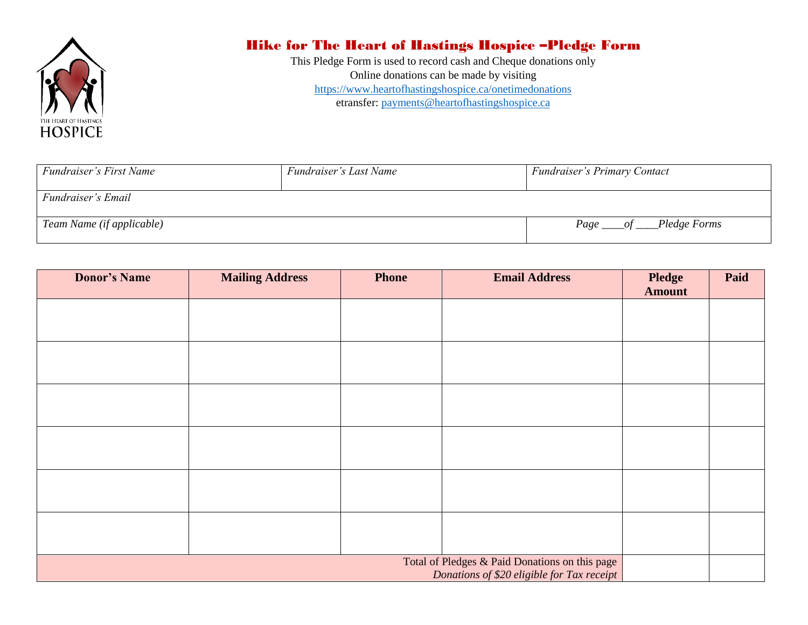

## Hike for The Heart of Hastings Hospice –Pledge Form

This Pledge Form is used to record cash and Cheque donations only Online donations can be made by visiting <https://www.heartofhastingshospice.ca/onetimedonations> etransfer: [payments@heartofhastingshospice.ca](mailto:payments@heartofhastingshospice.ca)

| Fundraiser's First Name   | Fundraiser's Last Name | <b>Fundraiser's Primary Contact</b>     |  |
|---------------------------|------------------------|-----------------------------------------|--|
| Fundraiser's Email        |                        |                                         |  |
| Team Name (if applicable) |                        | Pledge Forms<br>$Page$ <sub>_____</sub> |  |

| <b>Donor's Name</b> | <b>Mailing Address</b> | <b>Phone</b> | <b>Email Address</b>                                                                         | <b>Pledge</b><br><b>Amount</b> | Paid |
|---------------------|------------------------|--------------|----------------------------------------------------------------------------------------------|--------------------------------|------|
|                     |                        |              |                                                                                              |                                |      |
|                     |                        |              |                                                                                              |                                |      |
|                     |                        |              |                                                                                              |                                |      |
|                     |                        |              |                                                                                              |                                |      |
|                     |                        |              |                                                                                              |                                |      |
|                     |                        |              |                                                                                              |                                |      |
|                     |                        |              |                                                                                              |                                |      |
|                     |                        |              |                                                                                              |                                |      |
|                     |                        |              |                                                                                              |                                |      |
|                     |                        |              |                                                                                              |                                |      |
|                     |                        |              |                                                                                              |                                |      |
|                     |                        |              |                                                                                              |                                |      |
|                     |                        |              | Total of Pledges & Paid Donations on this page<br>Donations of \$20 eligible for Tax receipt |                                |      |